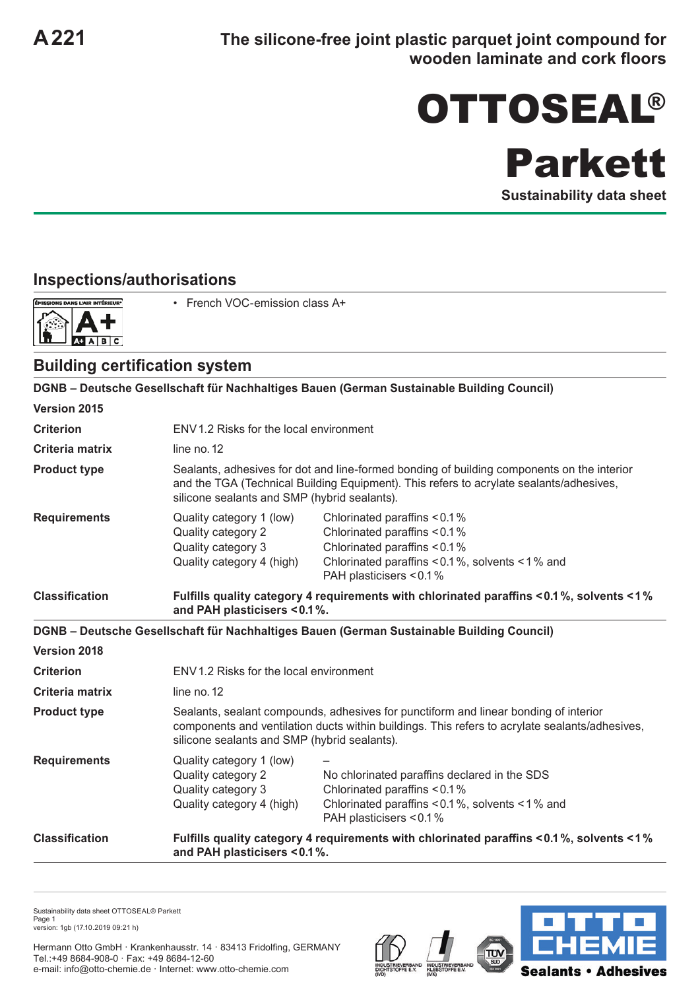## OTTOSEAL®

Parkett

**Sustainability data sheet**

## **Inspections/authorisations**



• French VOC‑emission class A+

## **Building certification system**

**DGNB – Deutsche Gesellschaft für Nachhaltiges Bauen (German Sustainable Building Council) Version 2015 Criterion** ENV1.2 Risks for the local environment **Criteria matrix** line no. 12 **Product type** Sealants, adhesives for dot and line-formed bonding of building components on the interior and the TGA (Technical Building Equipment). This refers to acrylate sealants/adhesives, silicone sealants and SMP (hybrid sealants). **Requirements** Quality category 1 (low) Chlorinated paraffins < 0.1 % Quality category 2 Chlorinated paraffins < 0.1 % Quality category 3 Chlorinated paraffins < 0.1 % Quality category 4 (high) Chlorinated paraffins < 0.1 %, solvents < 1 % and PAH plasticisers < 0.1 % **Classification Fulfills quality category 4 requirements with chlorinated paraffins < 0.1 %, solvents < 1 % and PAH plasticisers < 0.1%. DGNB – Deutsche Gesellschaft für Nachhaltiges Bauen (German Sustainable Building Council) Version 2018 Criterion** ENV1.2 Risks for the local environment **Criteria matrix** line no. 12 **Product type** Sealants, sealant compounds, adhesives for punctiform and linear bonding of interior components and ventilation ducts within buildings. This refers to acrylate sealants/adhesives, silicone sealants and SMP (hybrid sealants). **Requirements** Quality category 1 (low) Quality category 2 No chlorinated paraffins declared in the SDS Quality category 3 Chlorinated paraffins < 0.1 % Quality category 4 (high) Chlorinated paraffins < 0.1 %, solvents < 1 % and PAH plasticisers < 0.1 % **Classification Fulfills quality category 4 requirements with chlorinated paraffins < 0.1 %, solvents < 1 % and PAH plasticisers < 0.1%.**

Sustainability data sheet OTTOSEAL® Parkett Page 1 version: 1gb (17.10.2019 09:21 h)

Hermann Otto GmbH · Krankenhausstr. 14 · 83413 Fridolfing, GERMANY Tel.:+49 8684-908-0 · Fax: +49 8684-12-60 e-mail: info@otto-chemie.de · Internet: www.otto-chemie.com